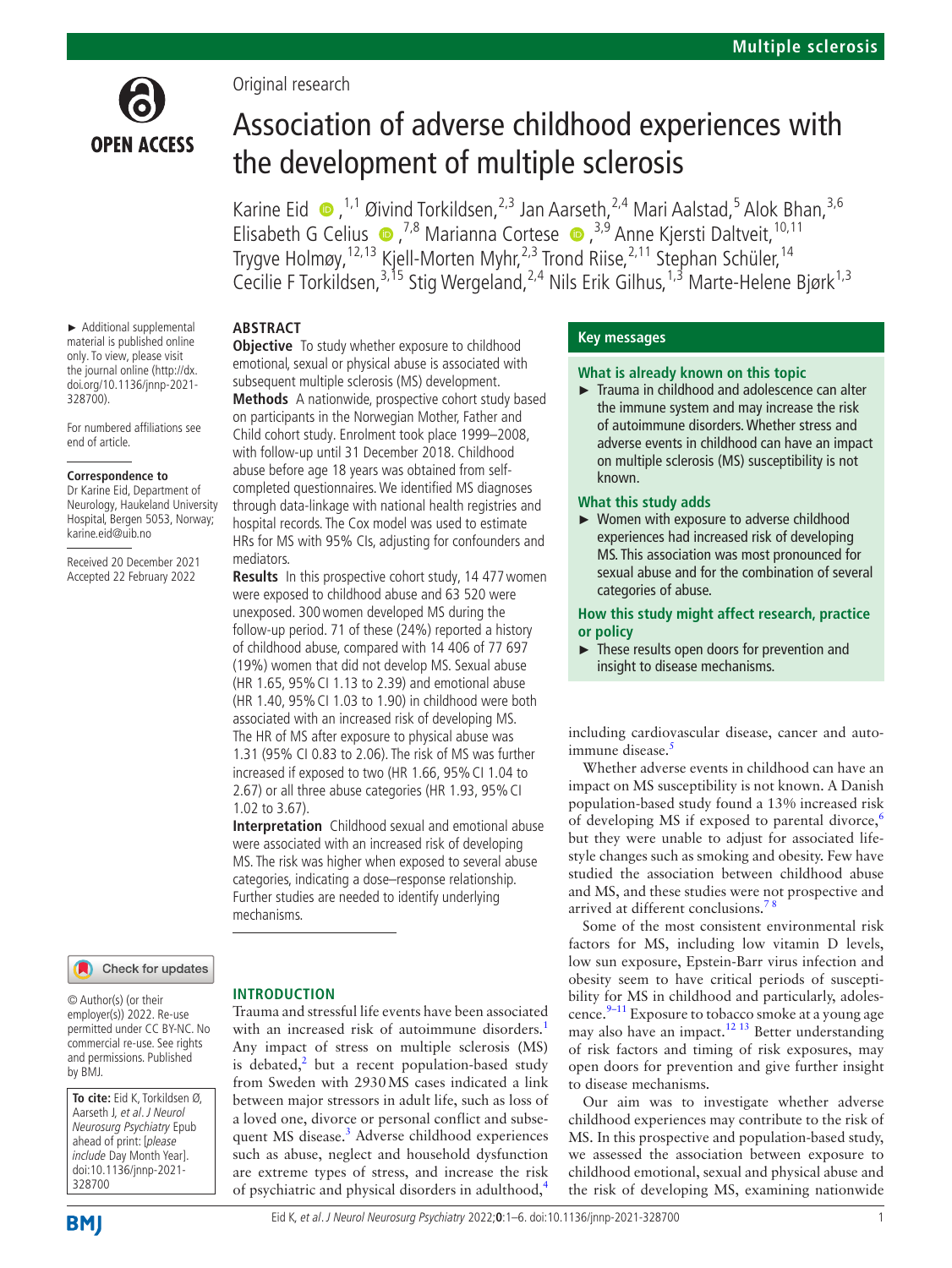

Original research

# Association of adverse childhood experiences with the development of multiple sclerosis

KarineEid  $\bullet$ , <sup>1,1</sup> Øivind Torkildsen, <sup>2,3</sup> Jan Aarseth, <sup>2,4</sup> Mari Aalstad, <sup>5</sup> Alok Bhan, <sup>3,6</sup> ElisabethG Celius  $\bullet$ ,<sup>7,8</sup> Marianna Cortese  $\bullet$ ,<sup>3,9</sup> Anne Kjersti Daltveit,<sup>10,11</sup> Trygve Holmøy,<sup>12,13</sup> Kjell-Morten Myhr,<sup>2,3</sup> Trond Riise,<sup>2,11</sup> Stephan Schüler,<sup>14</sup> Cecilie F Torkildsen,<sup>3,15</sup> Stig Wergeland,<sup>2,4</sup> Nils Erik Gilhus,<sup>1,3</sup> Marte-Helene Bjørk<sup>1,3</sup>

## **ABSTRACT**

mediators.

**Objective** To study whether exposure to childhood emotional, sexual or physical abuse is associated with subsequent multiple sclerosis (MS) development. **Methods** A nationwide, prospective cohort study based on participants in the Norwegian Mother, Father and Child cohort study. Enrolment took place 1999–2008, with follow-up until 31 December 2018. Childhood abuse before age 18 years was obtained from selfcompleted questionnaires. We identified MS diagnoses through data-linkage with national health registries and hospital records. The Cox model was used to estimate HRs for MS with 95% CIs, adjusting for confounders and

**Results** In this prospective cohort study, 14 477 women were exposed to childhood abuse and 63 520 were unexposed. 300women developed MS during the follow-up period. 71 of these (24%) reported a history of childhood abuse, compared with 14 406 of 77 697 (19%) women that did not develop MS. Sexual abuse (HR 1.65, 95%CI 1.13 to 2.39) and emotional abuse (HR 1.40, 95%CI 1.03 to 1.90) in childhood were both associated with an increased risk of developing MS. The HR of MS after exposure to physical abuse was 1.31 (95% CI 0.83 to 2.06). The risk of MS was further increased if exposed to two (HR 1.66, 95%CI 1.04 to 2.67) or all three abuse categories (HR 1.93, 95% CI

**Interpretation** Childhood sexual and emotional abuse were associated with an increased risk of developing MS. The risk was higher when exposed to several abuse categories, indicating a dose–response relationship. Further studies are needed to identify underlying

► Additional supplemental material is published online only. To view, please visit the journal online [\(http://dx.](http://dx.doi.org/10.1136/jnnp-2021-328700) [doi.org/10.1136/jnnp-2021-](http://dx.doi.org/10.1136/jnnp-2021-328700) [328700](http://dx.doi.org/10.1136/jnnp-2021-328700)).

For numbered affiliations see end of article.

#### **Correspondence to**

Dr Karine Eid, Department of Neurology, Haukeland University Hospital, Bergen 5053, Norway; karine.eid@uib.no

Received 20 December 2021 Accepted 22 February 2022

Check for updates

© Author(s) (or their employer(s)) 2022. Re-use permitted under CC BY-NC. No commercial re-use. See rights and permissions. Published by BMJ.

**To cite:** Eid K, Torkildsen Ø, Aarseth J, et al. J Neurol Neurosurg Psychiatry Epub ahead of print: [please include Day Month Year]. doi:10.1136/jnnp-2021- 328700

# Eid K, et al. J Neurol Neurosurg Psychiatry 2022;**0**:1–6. doi:10.1136/jnnp-2021-328700 1

**INTRODUCTION**

1.02 to 3.67).

mechanisms.

Trauma and stressful life events have been associated with an increased risk of autoimmune disorders.<sup>[1](#page-5-0)</sup> Any impact of stress on multiple sclerosis (MS) is debated,<sup>[2](#page-5-1)</sup> but a recent population-based study from Sweden with 2930MS cases indicated a link between major stressors in adult life, such as loss of a loved one, divorce or personal conflict and subsequent MS disease.<sup>3</sup> Adverse childhood experiences such as abuse, neglect and household dysfunction are extreme types of stress, and increase the risk of psychiatric and physical disorders in adulthood,[4](#page-5-3)

# **Key messages**

#### **What is already known on this topic**

► Trauma in childhood and adolescence can alter the immune system and may increase the risk of autoimmune disorders. Whether stress and adverse events in childhood can have an impact on multiple sclerosis (MS) susceptibility is not known.

#### **What this study adds**

► Women with exposure to adverse childhood experiences had increased risk of developing MS. This association was most pronounced for sexual abuse and for the combination of several categories of abuse.

**How this study might affect research, practice or policy**

► These results open doors for prevention and insight to disease mechanisms.

including cardiovascular disease, cancer and autoimmune disease. $\frac{5}{3}$  $\frac{5}{3}$  $\frac{5}{3}$ 

Whether adverse events in childhood can have an impact on MS susceptibility is not known. A Danish population-based study found a 13% increased risk of developing MS if exposed to parental divorce,<sup>[6](#page-5-5)</sup> but they were unable to adjust for associated lifestyle changes such as smoking and obesity. Few have studied the association between childhood abuse and MS, and these studies were not prospective and arrived at different conclusions.<sup>78</sup>

Some of the most consistent environmental risk factors for MS, including low vitamin D levels, low sun exposure, Epstein-Barr virus infection and obesity seem to have critical periods of susceptibility for MS in childhood and particularly, adoles-cence.<sup>[9–11](#page-5-7)</sup> Exposure to tobacco smoke at a young age may also have an impact.<sup>12 13</sup> Better understanding of risk factors and timing of risk exposures, may open doors for prevention and give further insight to disease mechanisms.

Our aim was to investigate whether adverse childhood experiences may contribute to the risk of MS. In this prospective and population-based study, we assessed the association between exposure to childhood emotional, sexual and physical abuse and the risk of developing MS, examining nationwide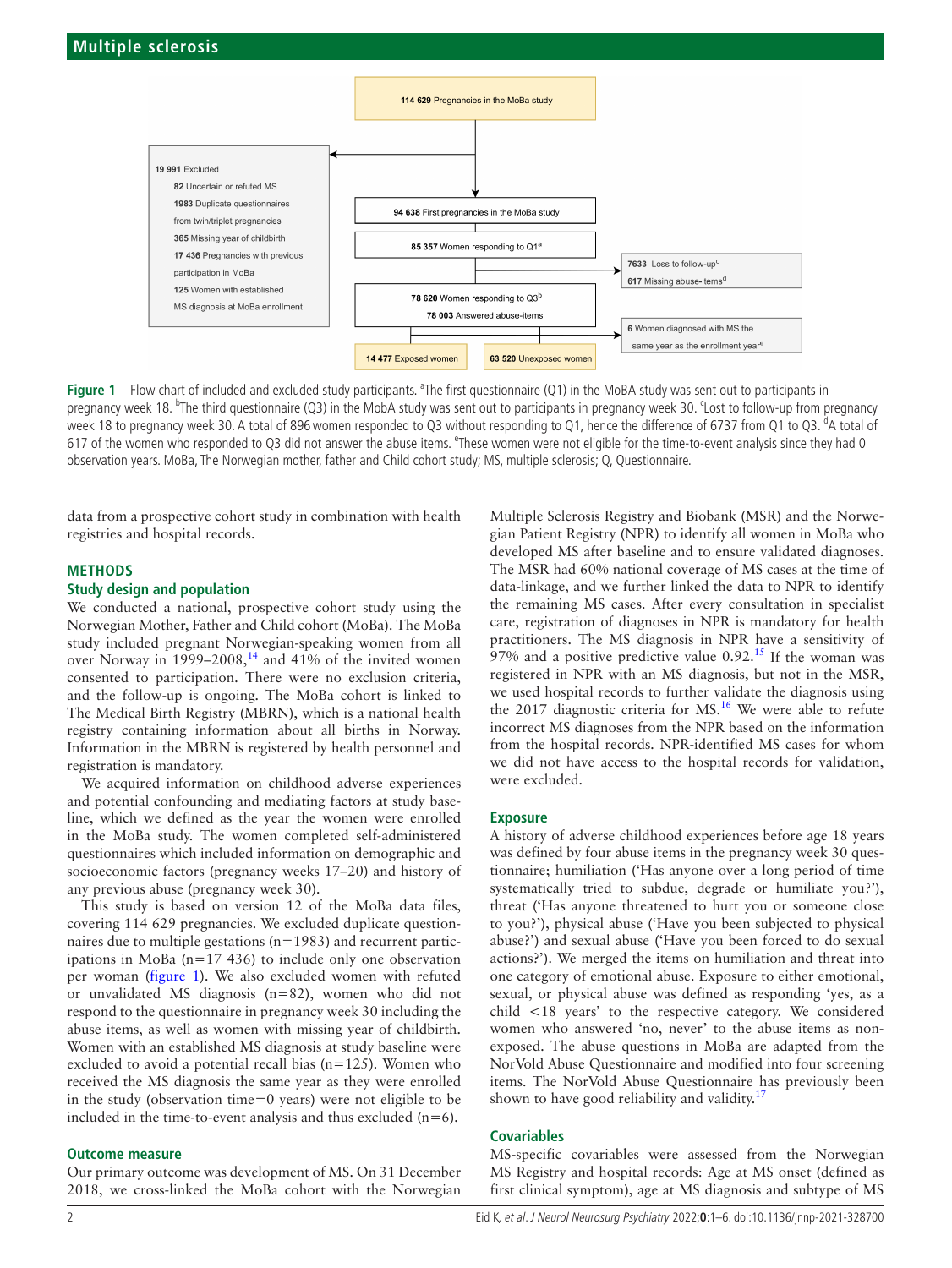

<span id="page-1-0"></span>Figure 1 Flow chart of included and excluded study participants. <sup>a</sup>The first questionnaire (Q1) in the MoBA study was sent out to participants in pregnancy week 18. <sup>b</sup>The third questionnaire (Q3) in the MobA study was sent out to participants in pregnancy week 30. Lost to follow-up from pregnancy week 18 to pregnancy week 30. A total of 896 women responded to Q3 without responding to Q1, hence the difference of 6737 from Q1 to Q3. <sup>d</sup>A total of 617 of the women who responded to Q3 did not answer the abuse items. <sup>e</sup>These women were not eligible for the time-to-event analysis since they had 0 observation years. MoBa, The Norwegian mother, father and Child cohort study; MS, multiple sclerosis; Q, Questionnaire.

data from a prospective cohort study in combination with health registries and hospital records.

#### **METHODS**

## **Study design and population**

We conducted a national, prospective cohort study using the Norwegian Mother, Father and Child cohort (MoBa). The MoBa study included pregnant Norwegian-speaking women from all over Norway in  $1999-2008$ ,<sup>[14](#page-5-9)</sup> and  $41\%$  of the invited women consented to participation. There were no exclusion criteria, and the follow-up is ongoing. The MoBa cohort is linked to The Medical Birth Registry (MBRN), which is a national health registry containing information about all births in Norway. Information in the MBRN is registered by health personnel and registration is mandatory.

We acquired information on childhood adverse experiences and potential confounding and mediating factors at study baseline, which we defined as the year the women were enrolled in the MoBa study. The women completed self-administered questionnaires which included information on demographic and socioeconomic factors (pregnancy weeks 17–20) and history of any previous abuse (pregnancy week 30).

This study is based on version 12 of the MoBa data files, covering 114 629 pregnancies. We excluded duplicate questionnaires due to multiple gestations (n=1983) and recurrent participations in MoBa (n=17 436) to include only one observation per woman ([figure](#page-1-0) 1). We also excluded women with refuted or unvalidated MS diagnosis (n=82), women who did not respond to the questionnaire in pregnancy week 30 including the abuse items, as well as women with missing year of childbirth. Women with an established MS diagnosis at study baseline were excluded to avoid a potential recall bias  $(n=125)$ . Women who received the MS diagnosis the same year as they were enrolled in the study (observation time=0 years) were not eligible to be included in the time-to-event analysis and thus excluded  $(n=6)$ .

## **Outcome measure**

Our primary outcome was development of MS. On 31 December 2018, we cross-linked the MoBa cohort with the Norwegian Multiple Sclerosis Registry and Biobank (MSR) and the Norwegian Patient Registry (NPR) to identify all women in MoBa who developed MS after baseline and to ensure validated diagnoses. The MSR had 60% national coverage of MS cases at the time of data-linkage, and we further linked the data to NPR to identify the remaining MS cases. After every consultation in specialist care, registration of diagnoses in NPR is mandatory for health practitioners. The MS diagnosis in NPR have a sensitivity of 97% and a positive predictive value  $0.92<sup>15</sup>$  If the woman was registered in NPR with an MS diagnosis, but not in the MSR, we used hospital records to further validate the diagnosis using the 2017 diagnostic criteria for MS.<sup>16</sup> We were able to refute incorrect MS diagnoses from the NPR based on the information from the hospital records. NPR-identified MS cases for whom we did not have access to the hospital records for validation, were excluded.

## **Exposure**

A history of adverse childhood experiences before age 18 years was defined by four abuse items in the pregnancy week 30 questionnaire; humiliation ('Has anyone over a long period of time systematically tried to subdue, degrade or humiliate you?'), threat ('Has anyone threatened to hurt you or someone close to you?'), physical abuse ('Have you been subjected to physical abuse?') and sexual abuse ('Have you been forced to do sexual actions?'). We merged the items on humiliation and threat into one category of emotional abuse. Exposure to either emotional, sexual, or physical abuse was defined as responding 'yes, as a child <18 years' to the respective category. We considered women who answered 'no, never' to the abuse items as nonexposed. The abuse questions in MoBa are adapted from the NorVold Abuse Questionnaire and modified into four screening items. The NorVold Abuse Questionnaire has previously been shown to have good reliability and validity. $17$ 

#### **Covariables**

MS-specific covariables were assessed from the Norwegian MS Registry and hospital records: Age at MS onset (defined as first clinical symptom), age at MS diagnosis and subtype of MS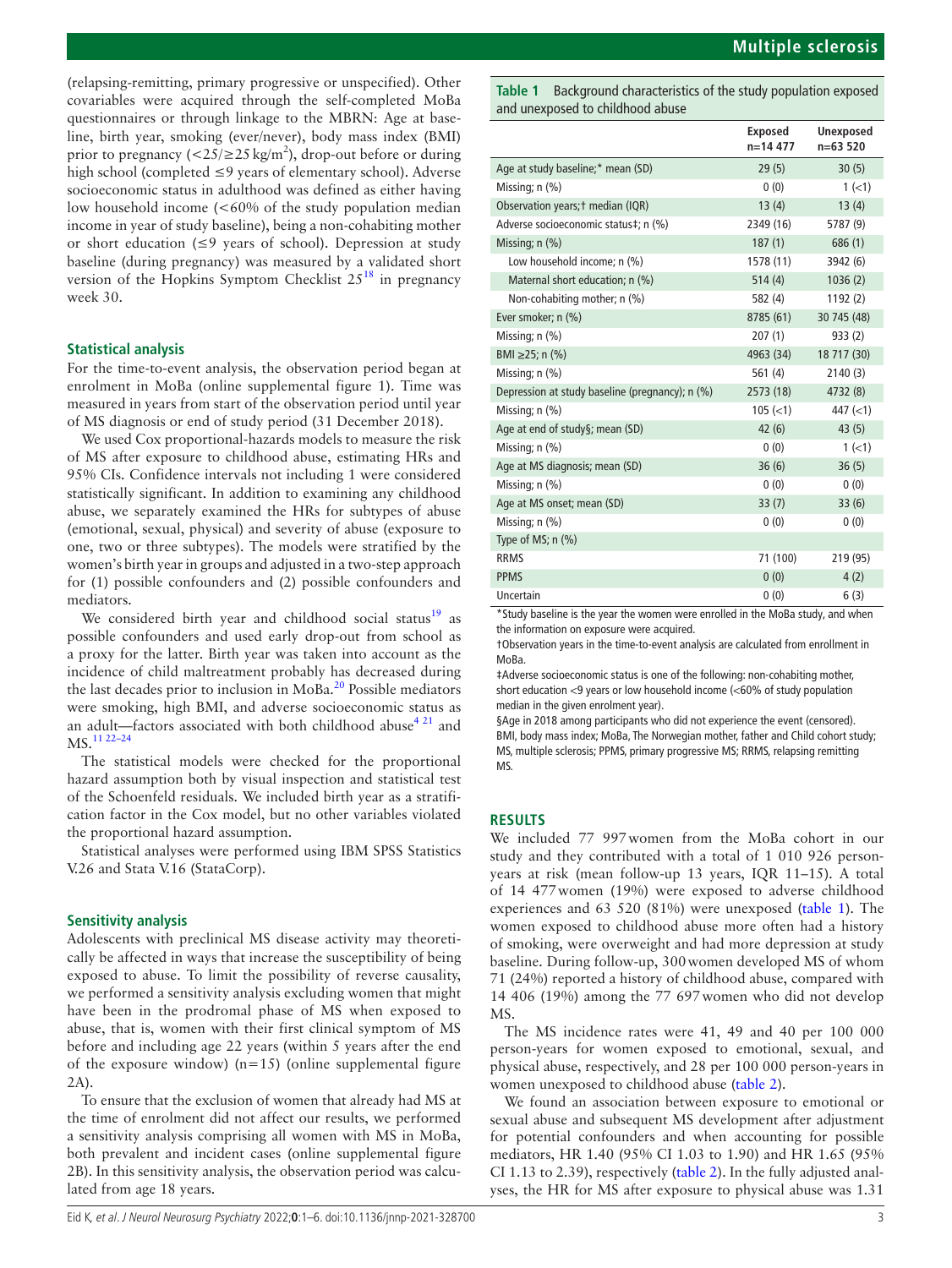(relapsing-remitting, primary progressive or unspecified). Other covariables were acquired through the self-completed MoBa questionnaires or through linkage to the MBRN: Age at baseline, birth year, smoking (ever/never), body mass index (BMI) prior to pregnancy ( $\langle 25/25 \text{ kg/m}^2 \rangle$ , drop-out before or during high school (completed ≤9 years of elementary school). Adverse socioeconomic status in adulthood was defined as either having low household income (<60% of the study population median income in year of study baseline), being a non-cohabiting mother or short education (≤9 years of school). Depression at study baseline (during pregnancy) was measured by a validated short version of the Hopkins Symptom Checklist  $25^{18}$  $25^{18}$  $25^{18}$  in pregnancy week 30.

## **Statistical analysis**

For the time-to-event analysis, the observation period began at enrolment in MoBa [\(online supplemental figure 1\)](https://dx.doi.org/10.1136/jnnp-2021-328700). Time was measured in years from start of the observation period until year of MS diagnosis or end of study period (31 December 2018).

We used Cox proportional-hazards models to measure the risk of MS after exposure to childhood abuse, estimating HRs and 95% CIs. Confidence intervals not including 1 were considered statistically significant. In addition to examining any childhood abuse, we separately examined the HRs for subtypes of abuse (emotional, sexual, physical) and severity of abuse (exposure to one, two or three subtypes). The models were stratified by the women's birth year in groups and adjusted in a two-step approach for (1) possible confounders and (2) possible confounders and mediators.

We considered birth year and childhood social status<sup>[19](#page-5-14)</sup> as possible confounders and used early drop-out from school as a proxy for the latter. Birth year was taken into account as the incidence of child maltreatment probably has decreased during the last decades prior to inclusion in  $\text{MoBa}.^{20}$  Possible mediators were smoking, high BMI, and adverse socioeconomic status as an adult—factors associated with both childhood abuse<sup>4 21</sup> and MS.[11 22–24](#page-5-16)

The statistical models were checked for the proportional hazard assumption both by visual inspection and statistical test of the Schoenfeld residuals. We included birth year as a stratification factor in the Cox model, but no other variables violated the proportional hazard assumption.

Statistical analyses were performed using IBM SPSS Statistics V.26 and Stata V.16 (StataCorp).

#### **Sensitivity analysis**

Adolescents with preclinical MS disease activity may theoretically be affected in ways that increase the susceptibility of being exposed to abuse. To limit the possibility of reverse causality, we performed a sensitivity analysis excluding women that might have been in the prodromal phase of MS when exposed to abuse, that is, women with their first clinical symptom of MS before and including age 22 years (within 5 years after the end of the exposure window)  $(n=15)$  (online supplemental figure [2A](https://dx.doi.org/10.1136/jnnp-2021-328700)).

To ensure that the exclusion of women that already had MS at the time of enrolment did not affect our results, we performed a sensitivity analysis comprising all women with MS in MoBa, both prevalent and incident cases ([online supplemental figure](https://dx.doi.org/10.1136/jnnp-2021-328700)  [2B\)](https://dx.doi.org/10.1136/jnnp-2021-328700). In this sensitivity analysis, the observation period was calculated from age 18 years.

<span id="page-2-0"></span>

|                                                 | <b>Exposed</b><br>$n=14477$ | <b>Unexposed</b><br>$n=63520$ |
|-------------------------------------------------|-----------------------------|-------------------------------|
| Age at study baseline;* mean (SD)               | 29(5)                       | 30(5)                         |
| Missing; n (%)                                  | 0(0)                        | $1 (-1)$                      |
| Observation years; † median (IQR)               | 13(4)                       | 13(4)                         |
| Adverse socioeconomic status#; n (%)            | 2349 (16)                   | 5787 (9)                      |
| Missing; $n$ $(\%)$                             | 187(1)                      | 686 (1)                       |
| Low household income; n (%)                     | 1578 (11)                   | 3942 (6)                      |
| Maternal short education; n (%)                 | 514(4)                      | 1036(2)                       |
| Non-cohabiting mother; n (%)                    | 582 (4)                     | 1192 (2)                      |
| Ever smoker; n (%)                              | 8785 (61)                   | 30 745 (48)                   |
| Missing; $n$ $(\%)$                             | 207(1)                      | 933(2)                        |
| BMI $\geq$ 25; n (%)                            | 4963 (34)                   | 18 717 (30)                   |
| Missing; n (%)                                  | 561 $(4)$                   | 2140(3)                       |
| Depression at study baseline (pregnancy); n (%) | 2573 (18)                   | 4732 (8)                      |
| Missing; n (%)                                  | $105 \; (< 1)$              | 447 (< 1)                     |
| Age at end of study§; mean (SD)                 | 42(6)                       | 43(5)                         |
| Missing; n (%)                                  | 0(0)                        | $1(-1)$                       |
| Age at MS diagnosis; mean (SD)                  | 36(6)                       | 36(5)                         |
| Missing; $n$ $(\%)$                             | 0(0)                        | 0(0)                          |
| Age at MS onset; mean (SD)                      | 33(7)                       | 33(6)                         |
| Missing; n (%)                                  | 0(0)                        | 0(0)                          |
| Type of MS; $n$ $(\%)$                          |                             |                               |
| <b>RRMS</b>                                     | 71 (100)                    | 219 (95)                      |
| <b>PPMS</b>                                     | 0(0)                        | 4(2)                          |
| Uncertain                                       | 0(0)                        | 6(3)                          |

\*Study baseline is the year the women were enrolled in the MoBa study, and when the information on exposure were acquired.

†Observation years in the time-to-event analysis are calculated from enrollment in MoBa.

‡Adverse socioeconomic status is one of the following: non-cohabiting mother, short education <9 years or low household income (<60% of study population median in the given enrolment year).

§Age in 2018 among participants who did not experience the event (censored). BMI, body mass index; MoBa, The Norwegian mother, father and Child cohort study; MS, multiple sclerosis; PPMS, primary progressive MS; RRMS, relapsing remitting MS.

#### **RESULTS**

We included 77 997women from the MoBa cohort in our study and they contributed with a total of 1 010 926 personyears at risk (mean follow-up 13 years, IQR 11–15). A total of 14 477women (19%) were exposed to adverse childhood experiences and 63 520 (81%) were unexposed [\(table](#page-2-0) 1). The women exposed to childhood abuse more often had a history of smoking, were overweight and had more depression at study baseline. During follow-up, 300women developed MS of whom 71 (24%) reported a history of childhood abuse, compared with 14 406 (19%) among the 77 697women who did not develop MS.

The MS incidence rates were 41, 49 and 40 per 100 000 person-years for women exposed to emotional, sexual, and physical abuse, respectively, and 28 per 100 000 person-years in women unexposed to childhood abuse [\(table](#page-3-0) 2).

We found an association between exposure to emotional or sexual abuse and subsequent MS development after adjustment for potential confounders and when accounting for possible mediators, HR 1.40 (95% CI 1.03 to 1.90) and HR 1.65 (95% CI 1.13 to 2.39), respectively [\(table](#page-3-0) 2). In the fully adjusted analyses, the HR for MS after exposure to physical abuse was 1.31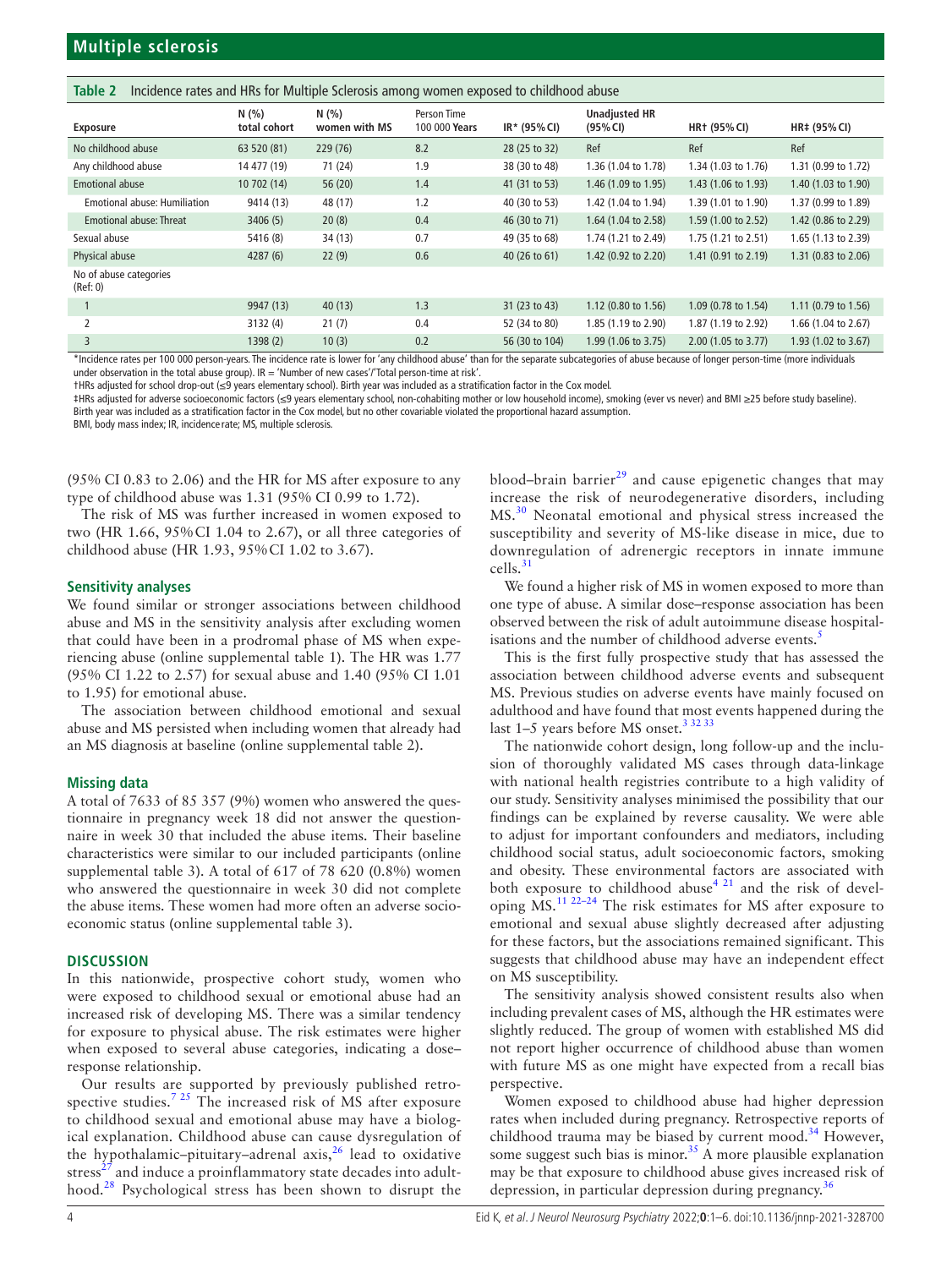<span id="page-3-0"></span>

|  | Table 2 Incidence rates and HRs for Multiple Sclerosis among women exposed to childhood abuse |  |
|--|-----------------------------------------------------------------------------------------------|--|
|  |                                                                                               |  |

| <b>Exposure</b>                     | N(%<br>total cohort | N(%<br>women with MS | Person Time<br>100 000 Years | $IR*$ (95% CI) | <b>Unadjusted HR</b><br>(95% CI) | <b>HR+ (95% CI)</b> | HR‡ (95% CI)        |
|-------------------------------------|---------------------|----------------------|------------------------------|----------------|----------------------------------|---------------------|---------------------|
| No childhood abuse                  | 63 520 (81)         | 229(76)              | 8.2                          | 28 (25 to 32)  | Ref                              | Ref                 | Ref                 |
| Any childhood abuse                 | 14 477 (19)         | 71 (24)              | 1.9                          | 38 (30 to 48)  | 1.36 (1.04 to 1.78)              | 1.34 (1.03 to 1.76) | 1.31 (0.99 to 1.72) |
| <b>Emotional abuse</b>              | 10 702 (14)         | 56 (20)              | 1.4                          | 41 (31 to 53)  | 1.46 (1.09 to 1.95)              | 1.43 (1.06 to 1.93) | 1.40 (1.03 to 1.90) |
| <b>Emotional abuse: Humiliation</b> | 9414 (13)           | 48 (17)              | 1.2                          | 40 (30 to 53)  | 1.42 (1.04 to 1.94)              | 1.39 (1.01 to 1.90) | 1.37 (0.99 to 1.89) |
| <b>Emotional abuse: Threat</b>      | 3406(5)             | 20(8)                | 0.4                          | 46 (30 to 71)  | 1.64 (1.04 to 2.58)              | 1.59 (1.00 to 2.52) | 1.42 (0.86 to 2.29) |
| Sexual abuse                        | 5416 (8)            | 34(13)               | 0.7                          | 49 (35 to 68)  | 1.74 (1.21 to 2.49)              | 1.75 (1.21 to 2.51) | 1.65 (1.13 to 2.39) |
| Physical abuse                      | 4287(6)             | 22(9)                | 0.6                          | 40 (26 to 61)  | 1.42 (0.92 to 2.20)              | 1.41 (0.91 to 2.19) | 1.31 (0.83 to 2.06) |
| No of abuse categories<br>(Ref: 0)  |                     |                      |                              |                |                                  |                     |                     |
|                                     | 9947 (13)           | 40(13)               | 1.3                          | 31 (23 to 43)  | 1.12 (0.80 to 1.56)              | 1.09 (0.78 to 1.54) | 1.11 (0.79 to 1.56) |
| 2                                   | 3132 (4)            | 21(7)                | 0.4                          | 52 (34 to 80)  | 1.85 (1.19 to 2.90)              | 1.87 (1.19 to 2.92) | 1.66 (1.04 to 2.67) |
| 3                                   | 1398(2)             | 10(3)                | 0.2                          | 56 (30 to 104) | 1.99 (1.06 to 3.75)              | 2.00 (1.05 to 3.77) | 1.93 (1.02 to 3.67) |

\*Incidence rates per 100 000 person-years. The incidence rate is lower for 'any childhood abuse' than for the separate subcategories of abuse because of longer person-time (more individuals under observation in the total abuse group).  $IR = 'Number of new cases'$  Total person-time at risk'.

†HRs adjusted for school drop-out (≤9 years elementary school). Birth year was included as a stratification factor in the Cox model.

‡HRs adjusted for adverse socioeconomic factors (≤9 years elementary school, non-cohabiting mother or low household income), smoking (ever vs never) and BMI ≥25 before study baseline). Birth year was included as a stratification factor in the Cox model, but no other covariable violated the proportional hazard assumption.

BMI, body mass index; IR, incidence rate; MS, multiple sclerosis.

(95% CI 0.83 to 2.06) and the HR for MS after exposure to any type of childhood abuse was 1.31 (95% CI 0.99 to 1.72).

The risk of MS was further increased in women exposed to two (HR 1.66, 95%CI 1.04 to 2.67), or all three categories of childhood abuse (HR 1.93, 95%CI 1.02 to 3.67).

## **Sensitivity analyses**

We found similar or stronger associations between childhood abuse and MS in the sensitivity analysis after excluding women that could have been in a prodromal phase of MS when experiencing abuse [\(online supplemental table 1\)](https://dx.doi.org/10.1136/jnnp-2021-328700). The HR was 1.77 (95% CI 1.22 to 2.57) for sexual abuse and 1.40 (95% CI 1.01 to 1.95) for emotional abuse.

The association between childhood emotional and sexual abuse and MS persisted when including women that already had an MS diagnosis at baseline [\(online supplemental table 2\)](https://dx.doi.org/10.1136/jnnp-2021-328700).

## **Missing data**

A total of 7633 of 85 357 (9%) women who answered the questionnaire in pregnancy week 18 did not answer the questionnaire in week 30 that included the abuse items. Their baseline characteristics were similar to our included participants [\(online](https://dx.doi.org/10.1136/jnnp-2021-328700)  [supplemental table 3\)](https://dx.doi.org/10.1136/jnnp-2021-328700). A total of 617 of 78 620 (0.8%) women who answered the questionnaire in week 30 did not complete the abuse items. These women had more often an adverse socioeconomic status ([online supplemental table 3](https://dx.doi.org/10.1136/jnnp-2021-328700)).

## **DISCUSSION**

In this nationwide, prospective cohort study, women who were exposed to childhood sexual or emotional abuse had an increased risk of developing MS. There was a similar tendency for exposure to physical abuse. The risk estimates were higher when exposed to several abuse categories, indicating a dose– response relationship.

Our results are supported by previously published retrospective studies.[7 25](#page-5-6) The increased risk of MS after exposure to childhood sexual and emotional abuse may have a biological explanation. Childhood abuse can cause dysregulation of the hypothalamic–pituitary–adrenal axis, $^{26}$  lead to oxidative stress $^{27}$  $^{27}$  $^{27}$  and induce a proinflammatory state decades into adulthood.[28](#page-5-19) Psychological stress has been shown to disrupt the blood–brain barrier $^{29}$  $^{29}$  $^{29}$  and cause epigenetic changes that may increase the risk of neurodegenerative disorders, including MS.[30](#page-5-21) Neonatal emotional and physical stress increased the susceptibility and severity of MS-like disease in mice, due to downregulation of adrenergic receptors in innate immune cells.[31](#page-5-22)

We found a higher risk of MS in women exposed to more than one type of abuse. A similar dose–response association has been observed between the risk of adult autoimmune disease hospital-isations and the number of childhood adverse events.<sup>[5](#page-5-4)</sup>

This is the first fully prospective study that has assessed the association between childhood adverse events and subsequent MS. Previous studies on adverse events have mainly focused on adulthood and have found that most events happened during the last 1-5 years before MS onset.<sup>3 32 33</sup>

The nationwide cohort design, long follow-up and the inclusion of thoroughly validated MS cases through data-linkage with national health registries contribute to a high validity of our study. Sensitivity analyses minimised the possibility that our findings can be explained by reverse causality. We were able to adjust for important confounders and mediators, including childhood social status, adult socioeconomic factors, smoking and obesity. These environmental factors are associated with both exposure to childhood abuse<sup>[4 21](#page-5-3)</sup> and the risk of developing MS.<sup>11 22–24</sup> The risk estimates for MS after exposure to emotional and sexual abuse slightly decreased after adjusting for these factors, but the associations remained significant. This suggests that childhood abuse may have an independent effect on MS susceptibility.

The sensitivity analysis showed consistent results also when including prevalent cases of MS, although the HR estimates were slightly reduced. The group of women with established MS did not report higher occurrence of childhood abuse than women with future MS as one might have expected from a recall bias perspective.

Women exposed to childhood abuse had higher depression rates when included during pregnancy. Retrospective reports of childhood trauma may be biased by current mood.<sup>[34](#page-5-23)</sup> However, some suggest such bias is minor.<sup>[35](#page-5-24)</sup> A more plausible explanation may be that exposure to childhood abuse gives increased risk of depression, in particular depression during pregnancy.<sup>[36](#page-5-25)</sup>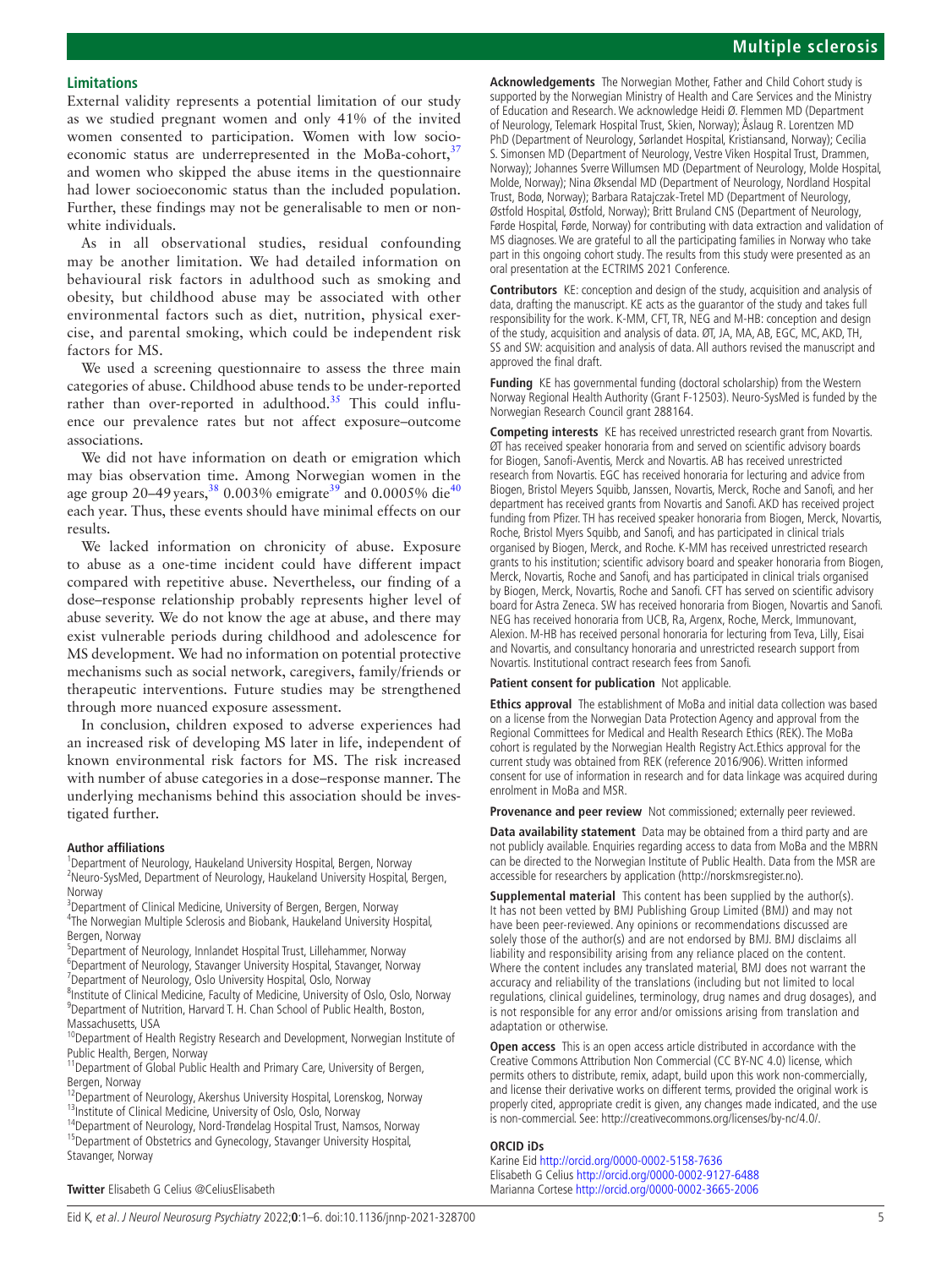## **Limitations**

External validity represents a potential limitation of our study as we studied pregnant women and only 41% of the invited women consented to participation. Women with low socioeconomic status are underrepresented in the MoBa-cohort, $37$ and women who skipped the abuse items in the questionnaire had lower socioeconomic status than the included population. Further, these findings may not be generalisable to men or nonwhite individuals.

As in all observational studies, residual confounding may be another limitation. We had detailed information on behavioural risk factors in adulthood such as smoking and obesity, but childhood abuse may be associated with other environmental factors such as diet, nutrition, physical exercise, and parental smoking, which could be independent risk factors for MS.

We used a screening questionnaire to assess the three main categories of abuse. Childhood abuse tends to be under-reported rather than over-reported in adulthood.<sup>[35](#page-5-24)</sup> This could influence our prevalence rates but not affect exposure–outcome associations.

We did not have information on death or emigration which may bias observation time. Among Norwegian women in the age group 20–49 years,  $380003\%$  $380003\%$  emigrate<sup>39</sup> and 0.0005% die<sup>[40](#page-5-29)</sup> each year. Thus, these events should have minimal effects on our results.

We lacked information on chronicity of abuse. Exposure to abuse as a one-time incident could have different impact compared with repetitive abuse. Nevertheless, our finding of a dose–response relationship probably represents higher level of abuse severity. We do not know the age at abuse, and there may exist vulnerable periods during childhood and adolescence for MS development. We had no information on potential protective mechanisms such as social network, caregivers, family/friends or therapeutic interventions. Future studies may be strengthened through more nuanced exposure assessment.

In conclusion, children exposed to adverse experiences had an increased risk of developing MS later in life, independent of known environmental risk factors for MS. The risk increased with number of abuse categories in a dose–response manner. The underlying mechanisms behind this association should be investigated further.

#### **Author affiliations**

<sup>1</sup>Department of Neurology, Haukeland University Hospital, Bergen, Norway <sup>2</sup> Neuro-SysMed, Department of Neurology, Haukeland University Hospital, Bergen, Norway

<sup>3</sup>Department of Clinical Medicine, University of Bergen, Bergen, Norway 4 The Norwegian Multiple Sclerosis and Biobank, Haukeland University Hospital, Bergen, Norway

5 Department of Neurology, Innlandet Hospital Trust, Lillehammer, Norway <sup>6</sup>Department of Neurology, Stavanger University Hospital, Stavanger, Norway

<sup>7</sup> Department of Neurology, Oslo University Hospital, Oslo, Norway

<sup>8</sup>Institute of Clinical Medicine, Faculty of Medicine, University of Oslo, Oslo, Norway <sup>9</sup>Department of Nutrition, Harvard T. H. Chan School of Public Health, Boston, Massachusetts, USA

<sup>10</sup>Department of Health Registry Research and Development, Norwegian Institute of Public Health, Bergen, Norway

<sup>11</sup> Department of Global Public Health and Primary Care, University of Bergen, Bergen, Norway

<sup>12</sup>Department of Neurology, Akershus University Hospital, Lorenskog, Norway <sup>13</sup>Institute of Clinical Medicine, University of Oslo, Oslo, Norway<br><sup>14</sup>Department of Neurology, Nord-Trøndelag Hospital Trust, Namsos, Norway

<sup>15</sup>Department of Obstetrics and Gynecology, Stavanger University Hospital, Stavanger, Norway

**Acknowledgements** The Norwegian Mother, Father and Child Cohort study is supported by the Norwegian Ministry of Health and Care Services and the Ministry of Education and Research. We acknowledge Heidi Ø. Flemmen MD (Department of Neurology, Telemark Hospital Trust, Skien, Norway); Åslaug R. Lorentzen MD PhD (Department of Neurology, Sørlandet Hospital, Kristiansand, Norway); Cecilia S. Simonsen MD (Department of Neurology, Vestre Viken Hospital Trust, Drammen, Norway); Johannes Sverre Willumsen MD (Department of Neurology, Molde Hospital, Molde, Norway); Nina Øksendal MD (Department of Neurology, Nordland Hospital Trust, Bodø, Norway); Barbara Ratajczak-Tretel MD (Department of Neurology, Østfold Hospital, Østfold, Norway); Britt Bruland CNS (Department of Neurology, Førde Hospital, Førde, Norway) for contributing with data extraction and validation of MS diagnoses. We are grateful to all the participating families in Norway who take part in this ongoing cohort study. The results from this study were presented as an oral presentation at the ECTRIMS 2021 Conference.

**Contributors** KE: conception and design of the study, acquisition and analysis of data, drafting the manuscript. KE acts as the guarantor of the study and takes full responsibility for the work. K-MM, CFT, TR, NEG and M-HB: conception and design of the study, acquisition and analysis of data. ØT, JA, MA, AB, EGC, MC, AKD, TH, SS and SW: acquisition and analysis of data. All authors revised the manuscript and approved the final draft.

**Funding** KE has governmental funding (doctoral scholarship) from the Western Norway Regional Health Authority (Grant F-12503). Neuro-SysMed is funded by the Norwegian Research Council grant 288164.

**Competing interests** KE has received unrestricted research grant from Novartis. ØT has received speaker honoraria from and served on scientific advisory boards for Biogen, Sanofi-Aventis, Merck and Novartis. AB has received unrestricted research from Novartis. EGC has received honoraria for lecturing and advice from Biogen, Bristol Meyers Squibb, Janssen, Novartis, Merck, Roche and Sanofi, and her department has received grants from Novartis and Sanofi. AKD has received project funding from Pfizer. TH has received speaker honoraria from Biogen, Merck, Novartis, Roche, Bristol Myers Squibb, and Sanofi, and has participated in clinical trials organised by Biogen, Merck, and Roche. K-MM has received unrestricted research grants to his institution; scientific advisory board and speaker honoraria from Biogen, Merck, Novartis, Roche and Sanofi, and has participated in clinical trials organised by Biogen, Merck, Novartis, Roche and Sanofi. CFT has served on scientific advisory board for Astra Zeneca. SW has received honoraria from Biogen, Novartis and Sanofi. NEG has received honoraria from UCB, Ra, Argenx, Roche, Merck, Immunovant, Alexion. M-HB has received personal honoraria for lecturing from Teva, Lilly, Eisai and Novartis, and consultancy honoraria and unrestricted research support from Novartis. Institutional contract research fees from Sanofi.

#### **Patient consent for publication** Not applicable.

**Ethics approval** The establishment of MoBa and initial data collection was based on a license from the Norwegian Data Protection Agency and approval from the Regional Committees for Medical and Health Research Ethics (REK). The MoBa cohort is regulated by the Norwegian Health Registry Act.Ethics approval for the current study was obtained from REK (reference 2016/906). Written informed consent for use of information in research and for data linkage was acquired during enrolment in MoBa and MSR.

**Provenance and peer review** Not commissioned; externally peer reviewed.

**Data availability statement** Data may be obtained from a third party and are not publicly available. Enquiries regarding access to data from MoBa and the MBRN can be directed to the Norwegian Institute of Public Health. Data from the MSR are accessible for researchers by application (<http://norskmsregister.no>).

**Supplemental material** This content has been supplied by the author(s). It has not been vetted by BMJ Publishing Group Limited (BMJ) and may not have been peer-reviewed. Any opinions or recommendations discussed are solely those of the author(s) and are not endorsed by BMJ. BMJ disclaims all liability and responsibility arising from any reliance placed on the content. Where the content includes any translated material, BMJ does not warrant the accuracy and reliability of the translations (including but not limited to local regulations, clinical guidelines, terminology, drug names and drug dosages), and is not responsible for any error and/or omissions arising from translation and adaptation or otherwise.

**Open access** This is an open access article distributed in accordance with the Creative Commons Attribution Non Commercial (CC BY-NC 4.0) license, which permits others to distribute, remix, adapt, build upon this work non-commercially, and license their derivative works on different terms, provided the original work is properly cited, appropriate credit is given, any changes made indicated, and the use is non-commercial. See: [http://creativecommons.org/licenses/by-nc/4.0/.](http://creativecommons.org/licenses/by-nc/4.0/)

#### **ORCID iDs**

Karine Eid <http://orcid.org/0000-0002-5158-7636> Elisabeth G Celius <http://orcid.org/0000-0002-9127-6488> Marianna Cortese<http://orcid.org/0000-0002-3665-2006>

**Twitter** Elisabeth G Celius [@CeliusElisabeth](https://twitter.com/CeliusElisabeth)